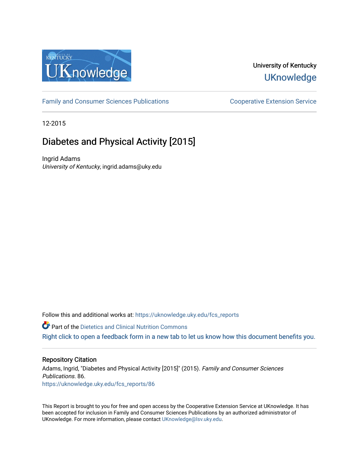

# University of Kentucky **UKnowledge**

[Family and Consumer Sciences Publications](https://uknowledge.uky.edu/fcs_reports) **Consumer Science Extension Service** Cooperative Extension Service

12-2015

# Diabetes and Physical Activity [2015]

Ingrid Adams University of Kentucky, ingrid.adams@uky.edu

Follow this and additional works at: https://uknowledge.uky.edu/fcs\_reports

**Part of the Dietetics and Clinical Nutrition Commons** 

[Right click to open a feedback form in a new tab to let us know how this document benefits you.](https://uky.az1.qualtrics.com/jfe/form/SV_9mq8fx2GnONRfz7)

#### Repository Citation

Adams, Ingrid, "Diabetes and Physical Activity [2015]" (2015). Family and Consumer Sciences Publications. 86. [https://uknowledge.uky.edu/fcs\\_reports/86](https://uknowledge.uky.edu/fcs_reports/86?utm_source=uknowledge.uky.edu%2Ffcs_reports%2F86&utm_medium=PDF&utm_campaign=PDFCoverPages)

This Report is brought to you for free and open access by the Cooperative Extension Service at UKnowledge. It has been accepted for inclusion in Family and Consumer Sciences Publications by an authorized administrator of UKnowledge. For more information, please contact [UKnowledge@lsv.uky.edu](mailto:UKnowledge@lsv.uky.edu).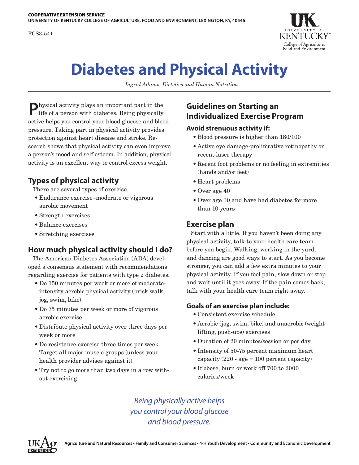FCS3-541



# **Diabetes and Physical Activity**

*Ingrid Adams, Dietetics and Human Nutrition*

**P**hysical activity plays an important part in the life of a person with diabetes. Being physically active helps you control your blood glucose and blood pressure. Taking part in physical activity provides protection against heart disease and stroke. Research shows that physical activity can even improve a person's mood and self esteem. In addition, physical activity is an excellent way to control excess weight.

## **Types of physical activity**

There are several types of exercise.

- Endurance exercise–moderate or vigorous aerobic movement
- Strength exercises
- Balance exercises
- Stretching exercises

### **How much physical activity should I do?**

The American Diabetes Association (ADA) developed a consensus statement with recommendations regarding exercise for patients with type 2 diabetes.

- Do 150 minutes per week or more of moderateintensity aerobic physical activity (brisk walk, jog, swim, bike)
- Do 75 minutes per week or more of vigorous aerobic exercise
- Distribute physical activity over three days per week or more
- Do resistance exercise three times per week. Target all major muscle groups (unless your health provider advises against it)
- Try not to go more than two days in a row without exercising

# **Guidelines on Starting an Individualized Exercise Program**

#### **Avoid strenuous activity if:**

- Blood pressure is higher than 180/100
- Active eye damage-proliferative retinopathy or recent laser therapy
- Recent foot problems or no feeling in extremities (hands and/or feet)
- Heart problems
- Over age 40
- Over age 30 and have had diabetes for more than 10 years

#### **Exercise plan**

Start with a little. If you haven't been doing any physical activity, talk to your health care team before you begin. Walking, working in the yard, and dancing are good ways to start. As you become stronger, you can add a few extra minutes to your physical activity. If you feel pain, slow down or stop and wait until it goes away. If the pain comes back, talk with your health care team right away.

#### **Goals of an exercise plan include:**

- Consistent exercise schedule
- Aerobic (jog, swim, bike) and anaerobic (weight lifting, push-ups) exercises
- Duration of 20 minutes/session or per day
- Intensity of 50-75 percent maximum heart capacity  $(220 - age = 100)$  percent capacity)
- If obese, burn or work off 700 to 2000 calories/week

*Being physically active helps you control your blood glucose and blood pressure.*

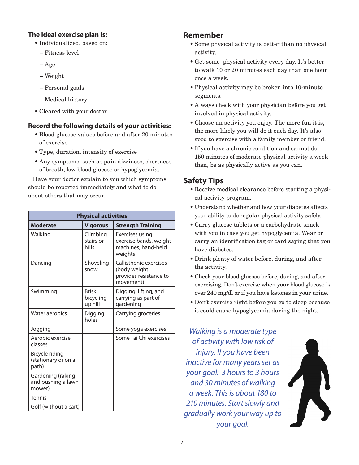#### **The ideal exercise plan is:**

- Individualized, based on:
	- Fitness level
	- Age
	- Weight
	- Personal goals
	- Medical history
- Cleared with your doctor

#### **Record the following details of your activities:**

- Blood-glucose values before and after 20 minutes of exercise
- Type, duration, intensity of exercise
- Any symptoms, such as pain dizziness, shortness of breath, low blood glucose or hypoglycemia.

Have your doctor explain to you which symptoms should be reported immediately and what to do about others that may occur.

| <b>Physical activities</b>                        |                                      |                                                                               |  |
|---------------------------------------------------|--------------------------------------|-------------------------------------------------------------------------------|--|
| <b>Moderate</b>                                   | <b>Vigorous</b>                      | <b>Strength Training</b>                                                      |  |
| Walking                                           | Climbing<br>stairs or<br>hills       | Exercises using<br>exercise bands, weight<br>machines, hand-held<br>weights   |  |
| Dancing                                           | Shoveling<br>snow                    | Callisthenic exercises<br>(body weight<br>provides resistance to<br>movement) |  |
| Swimming                                          | <b>Brisk</b><br>bicycling<br>up hill | Digging, lifting, and<br>carrying as part of<br>gardening                     |  |
| Water aerobics                                    | Digging<br>holes                     | Carrying groceries                                                            |  |
| Jogging                                           |                                      | Some yoga exercises                                                           |  |
| Aerobic exercise<br>classes                       |                                      | Some Tai Chi exercises                                                        |  |
| Bicycle riding<br>(stationary or on a<br>path)    |                                      |                                                                               |  |
| Gardening (raking<br>and pushing a lawn<br>mower) |                                      |                                                                               |  |
| <b>Tennis</b>                                     |                                      |                                                                               |  |
| Golf (without a cart)                             |                                      |                                                                               |  |

#### **Remember**

- Some physical activity is better than no physical activity.
- Get some physical activity every day. It's better to walk 10 or 20 minutes each day than one hour once a week.
- Physical activity may be broken into 10-minute segments.
- Always check with your physician before you get involved in physical activity.
- Choose an activity you enjoy. The more fun it is, the more likely you will do it each day. It's also good to exercise with a family member or friend.
- If you have a chronic condition and cannot do 150 minutes of moderate physical activity a week then, be as physically active as you can.

## **Safety Tips**

- Receive medical clearance before starting a physical activity program.
- Understand whether and how your diabetes affects your ability to do regular physical activity safely.
- Carry glucose tablets or a carbohydrate snack with you in case you get hypoglycemia. Wear or carry an identification tag or card saying that you have diabetes.
- Drink plenty of water before, during, and after the activity.
- Check your blood glucose before, during, and after exercising. Don't exercise when your blood glucose is over 240 mg/dl or if you have ketones in your urine.
- Don't exercise right before you go to sleep because it could cause hypoglycemia during the night.

*Walking is a moderate type of activity with low risk of injury. If you have been inactive for many years set as your goal: 3 hours to 3 hours and 30 minutes of walking a week. This is about 180 to 210 minutes. Start slowly and gradually work your way up to your goal.*

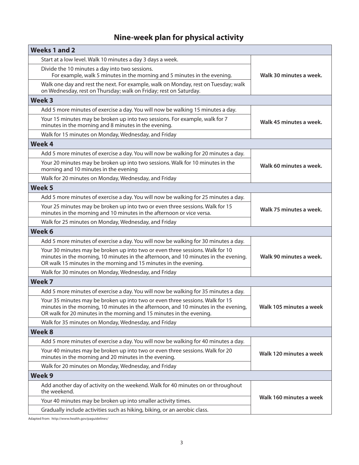# **Nine-week plan for physical activity**

| <b>Weeks 1 and 2</b>                                                                                                                                                                                                                         |                         |  |
|----------------------------------------------------------------------------------------------------------------------------------------------------------------------------------------------------------------------------------------------|-------------------------|--|
| Start at a low level. Walk 10 minutes a day 3 days a week.                                                                                                                                                                                   | Walk 30 minutes a week. |  |
| Divide the 10 minutes a day into two sessions.<br>For example, walk 5 minutes in the morning and 5 minutes in the evening.                                                                                                                   |                         |  |
| Walk one day and rest the next. For example, walk on Monday, rest on Tuesday; walk<br>on Wednesday, rest on Thursday; walk on Friday; rest on Saturday.                                                                                      |                         |  |
| <b>Week 3</b>                                                                                                                                                                                                                                |                         |  |
| Add 5 more minutes of exercise a day. You will now be walking 15 minutes a day.                                                                                                                                                              |                         |  |
| Your 15 minutes may be broken up into two sessions. For example, walk for 7<br>minutes in the morning and 8 minutes in the evening.                                                                                                          | Walk 45 minutes a week. |  |
| Walk for 15 minutes on Monday, Wednesday, and Friday                                                                                                                                                                                         |                         |  |
| <b>Week 4</b>                                                                                                                                                                                                                                |                         |  |
| Add 5 more minutes of exercise a day. You will now be walking for 20 minutes a day.                                                                                                                                                          |                         |  |
| Your 20 minutes may be broken up into two sessions. Walk for 10 minutes in the<br>morning and 10 minutes in the evening                                                                                                                      | Walk 60 minutes a week. |  |
| Walk for 20 minutes on Monday, Wednesday, and Friday                                                                                                                                                                                         |                         |  |
| Week <sub>5</sub>                                                                                                                                                                                                                            |                         |  |
| Add 5 more minutes of exercise a day. You will now be walking for 25 minutes a day.                                                                                                                                                          |                         |  |
| Your 25 minutes may be broken up into two or even three sessions. Walk for 15<br>minutes in the morning and 10 minutes in the afternoon or vice versa.                                                                                       | Walk 75 minutes a week. |  |
| Walk for 25 minutes on Monday, Wednesday, and Friday                                                                                                                                                                                         |                         |  |
| Week <sub>6</sub>                                                                                                                                                                                                                            |                         |  |
| Add 5 more minutes of exercise a day. You will now be walking for 30 minutes a day.                                                                                                                                                          |                         |  |
| Your 30 minutes may be broken up into two or even three sessions. Walk for 10<br>minutes in the morning, 10 minutes in the afternoon, and 10 minutes in the evening.<br>OR walk 15 minutes in the morning and 15 minutes in the evening.     | Walk 90 minutes a week. |  |
| Walk for 30 minutes on Monday, Wednesday, and Friday                                                                                                                                                                                         |                         |  |
| Week 7                                                                                                                                                                                                                                       |                         |  |
| Add 5 more minutes of exercise a day. You will now be walking for 35 minutes a day.                                                                                                                                                          |                         |  |
| Your 35 minutes may be broken up into two or even three sessions. Walk for 15<br>minutes in the morning, 10 minutes in the afternoon, and 10 minutes in the evening,<br>OR walk for 20 minutes in the morning and 15 minutes in the evening. | Walk 105 minutes a week |  |
| Walk for 35 minutes on Monday, Wednesday, and Friday                                                                                                                                                                                         |                         |  |
| Week 8                                                                                                                                                                                                                                       |                         |  |
| Add 5 more minutes of exercise a day. You will now be walking for 40 minutes a day.                                                                                                                                                          |                         |  |
| Your 40 minutes may be broken up into two or even three sessions. Walk for 20<br>minutes in the morning and 20 minutes in the evening.                                                                                                       | Walk 120 minutes a week |  |
| Walk for 20 minutes on Monday, Wednesday, and Friday                                                                                                                                                                                         |                         |  |
| Week <sub>9</sub>                                                                                                                                                                                                                            |                         |  |
| Add another day of activity on the weekend. Walk for 40 minutes on or throughout<br>the weekend.                                                                                                                                             |                         |  |
| Your 40 minutes may be broken up into smaller activity times.                                                                                                                                                                                | Walk 160 minutes a week |  |
| Gradually include activities such as hiking, biking, or an aerobic class.                                                                                                                                                                    |                         |  |

Adapted from: <http://www.health.gov/paguidelines/>